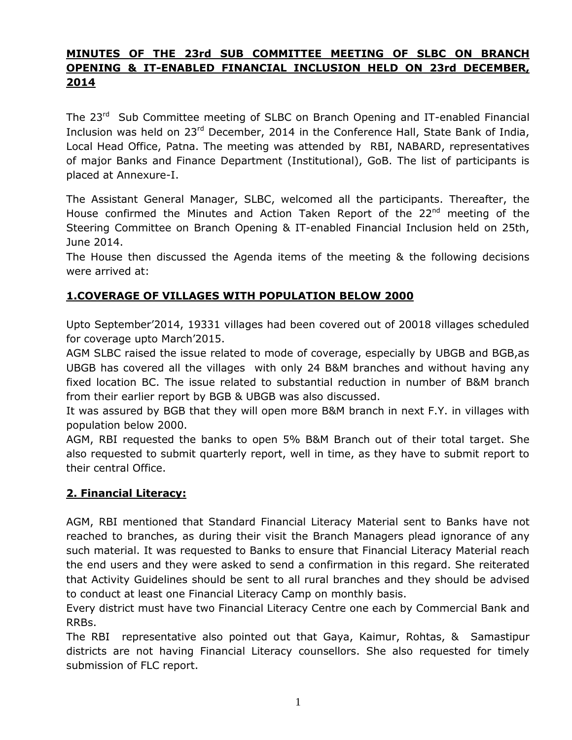# **MINUTES OF THE 23rd SUB COMMITTEE MEETING OF SLBC ON BRANCH OPENING & IT-ENABLED FINANCIAL INCLUSION HELD ON 23rd DECEMBER, 2014**

The 23<sup>rd</sup> Sub Committee meeting of SLBC on Branch Opening and IT-enabled Financial Inclusion was held on 23rd December, 2014 in the Conference Hall, State Bank of India, Local Head Office, Patna. The meeting was attended by RBI, NABARD, representatives of major Banks and Finance Department (Institutional), GoB. The list of participants is placed at Annexure-I.

The Assistant General Manager, SLBC, welcomed all the participants. Thereafter, the House confirmed the Minutes and Action Taken Report of the 22<sup>nd</sup> meeting of the Steering Committee on Branch Opening & IT-enabled Financial Inclusion held on 25th, June 2014.

The House then discussed the Agenda items of the meeting & the following decisions were arrived at:

## **1.COVERAGE OF VILLAGES WITH POPULATION BELOW 2000**

Upto September'2014, 19331 villages had been covered out of 20018 villages scheduled for coverage upto March'2015.

AGM SLBC raised the issue related to mode of coverage, especially by UBGB and BGB,as UBGB has covered all the villages with only 24 B&M branches and without having any fixed location BC. The issue related to substantial reduction in number of B&M branch from their earlier report by BGB & UBGB was also discussed.

It was assured by BGB that they will open more B&M branch in next F.Y. in villages with population below 2000.

AGM, RBI requested the banks to open 5% B&M Branch out of their total target. She also requested to submit quarterly report, well in time, as they have to submit report to their central Office.

#### **2. Financial Literacy:**

AGM, RBI mentioned that Standard Financial Literacy Material sent to Banks have not reached to branches, as during their visit the Branch Managers plead ignorance of any such material. It was requested to Banks to ensure that Financial Literacy Material reach the end users and they were asked to send a confirmation in this regard. She reiterated that Activity Guidelines should be sent to all rural branches and they should be advised to conduct at least one Financial Literacy Camp on monthly basis.

Every district must have two Financial Literacy Centre one each by Commercial Bank and RRBs.

The RBI representative also pointed out that Gaya, Kaimur, Rohtas, & Samastipur districts are not having Financial Literacy counsellors. She also requested for timely submission of FLC report.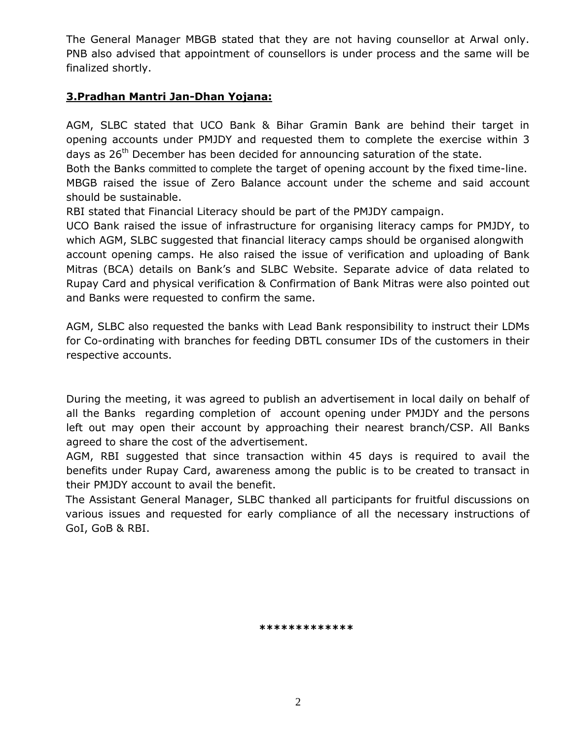The General Manager MBGB stated that they are not having counsellor at Arwal only. PNB also advised that appointment of counsellors is under process and the same will be finalized shortly.

## **3.Pradhan Mantri Jan-Dhan Yojana:**

AGM, SLBC stated that UCO Bank & Bihar Gramin Bank are behind their target in opening accounts under PMJDY and requested them to complete the exercise within 3 days as  $26<sup>th</sup>$  December has been decided for announcing saturation of the state.

Both the Banks committed to complete the target of opening account by the fixed time-line. MBGB raised the issue of Zero Balance account under the scheme and said account should be sustainable.

RBI stated that Financial Literacy should be part of the PMJDY campaign.

UCO Bank raised the issue of infrastructure for organising literacy camps for PMJDY, to which AGM, SLBC suggested that financial literacy camps should be organised alongwith account opening camps. He also raised the issue of verification and uploading of Bank Mitras (BCA) details on Bank's and SLBC Website. Separate advice of data related to Rupay Card and physical verification & Confirmation of Bank Mitras were also pointed out and Banks were requested to confirm the same.

AGM, SLBC also requested the banks with Lead Bank responsibility to instruct their LDMs for Co-ordinating with branches for feeding DBTL consumer IDs of the customers in their respective accounts.

During the meeting, it was agreed to publish an advertisement in local daily on behalf of all the Banks regarding completion of account opening under PMJDY and the persons left out may open their account by approaching their nearest branch/CSP. All Banks agreed to share the cost of the advertisement.

AGM, RBI suggested that since transaction within 45 days is required to avail the benefits under Rupay Card, awareness among the public is to be created to transact in their PMJDY account to avail the benefit.

The Assistant General Manager, SLBC thanked all participants for fruitful discussions on various issues and requested for early compliance of all the necessary instructions of GoI, GoB & RBI.

 **\*\*\*\*\*\*\*\*\*\*\*\*\***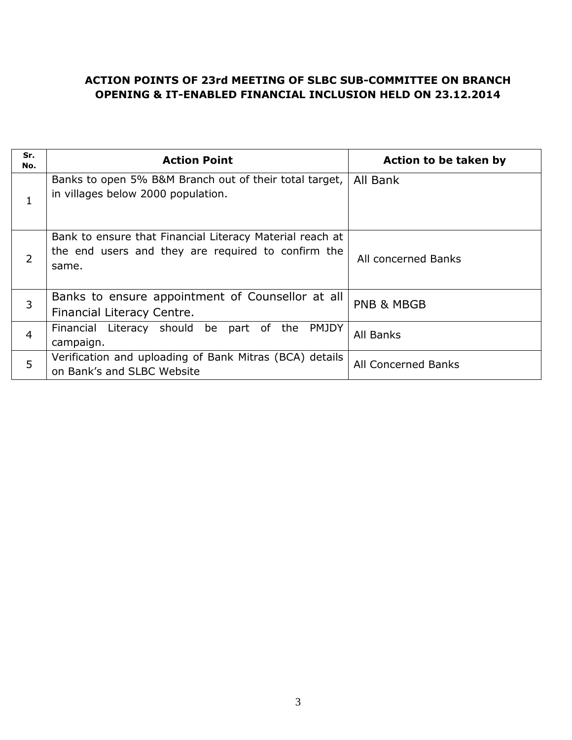### **ACTION POINTS OF 23rd MEETING OF SLBC SUB-COMMITTEE ON BRANCH OPENING & IT-ENABLED FINANCIAL INCLUSION HELD ON 23.12.2014**

| Sr.<br>No.     | <b>Action Point</b>                                                                                                     | Action to be taken by |
|----------------|-------------------------------------------------------------------------------------------------------------------------|-----------------------|
|                | Banks to open 5% B&M Branch out of their total target,<br>in villages below 2000 population.                            | All Bank              |
| 2              | Bank to ensure that Financial Literacy Material reach at<br>the end users and they are required to confirm the<br>same. | All concerned Banks   |
| 3              | Banks to ensure appointment of Counsellor at all<br>Financial Literacy Centre.                                          | <b>PNB &amp; MBGB</b> |
| $\overline{4}$ | Financial Literacy should be<br>part of the<br>PMJDY<br>campaign.                                                       | All Banks             |
| 5              | Verification and uploading of Bank Mitras (BCA) details<br>on Bank's and SLBC Website                                   | All Concerned Banks   |